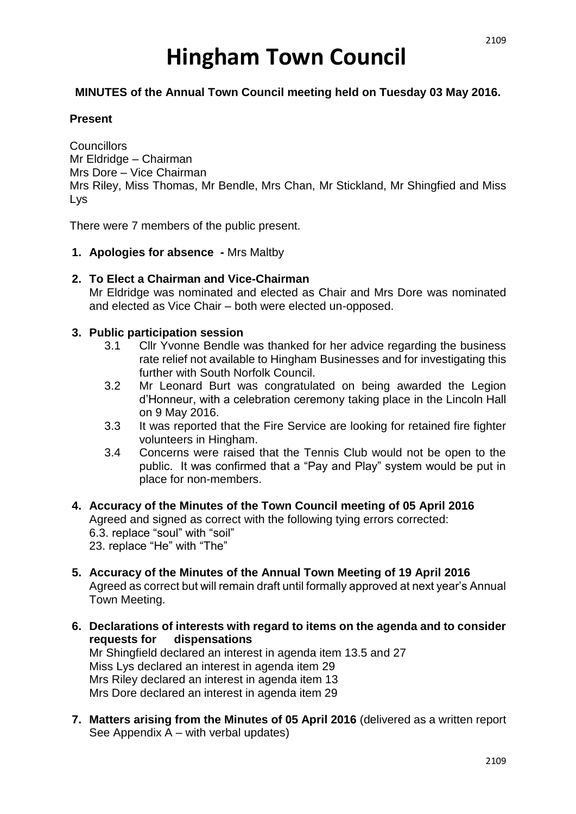# **Hingham Town Council**

# **MINUTES of the Annual Town Council meeting held on Tuesday 03 May 2016.**

# **Present**

**Councillors** Mr Eldridge – Chairman Mrs Dore – Vice Chairman Mrs Riley, Miss Thomas, Mr Bendle, Mrs Chan, Mr Stickland, Mr Shingfied and Miss Lys

There were 7 members of the public present.

- **1. Apologies for absence -** Mrs Maltby
- **2. To Elect a Chairman and Vice-Chairman**

Mr Eldridge was nominated and elected as Chair and Mrs Dore was nominated and elected as Vice Chair – both were elected un-opposed.

#### **3. Public participation session**

- 3.1 Cllr Yvonne Bendle was thanked for her advice regarding the business rate relief not available to Hingham Businesses and for investigating this further with South Norfolk Council.
- 3.2 Mr Leonard Burt was congratulated on being awarded the Legion d'Honneur, with a celebration ceremony taking place in the Lincoln Hall on 9 May 2016.
- 3.3 It was reported that the Fire Service are looking for retained fire fighter volunteers in Hingham.
- 3.4 Concerns were raised that the Tennis Club would not be open to the public. It was confirmed that a "Pay and Play" system would be put in place for non-members.
- **4. Accuracy of the Minutes of the Town Council meeting of 05 April 2016** Agreed and signed as correct with the following tying errors corrected: 6.3. replace "soul" with "soil" 23. replace "He" with "The"
- **5. Accuracy of the Minutes of the Annual Town Meeting of 19 April 2016** Agreed as correct but will remain draft until formally approved at next year's Annual Town Meeting.
- **6. Declarations of interests with regard to items on the agenda and to consider requests for dispensations** Mr Shingfield declared an interest in agenda item 13.5 and 27 Miss Lys declared an interest in agenda item 29 Mrs Riley declared an interest in agenda item 13 Mrs Dore declared an interest in agenda item 29
- **7. Matters arising from the Minutes of 05 April 2016** (delivered as a written report See Appendix A – with verbal updates)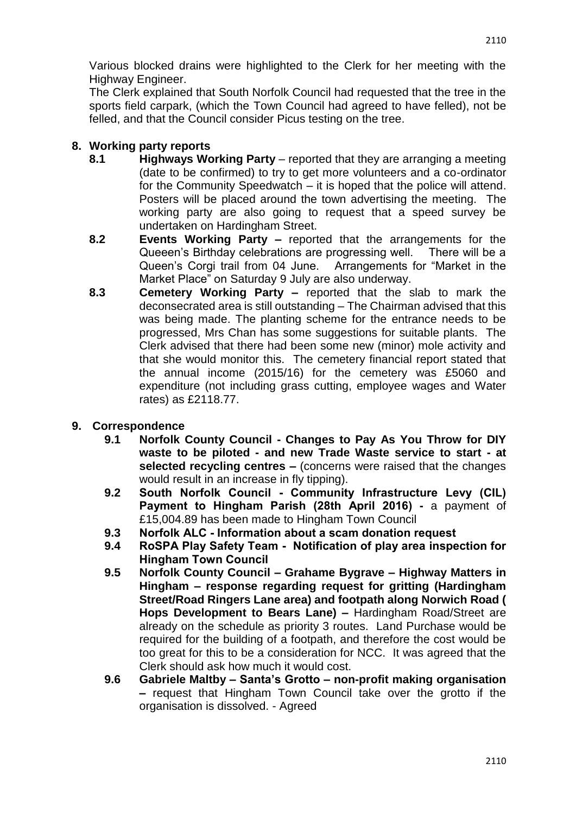Various blocked drains were highlighted to the Clerk for her meeting with the Highway Engineer.

The Clerk explained that South Norfolk Council had requested that the tree in the sports field carpark, (which the Town Council had agreed to have felled), not be felled, and that the Council consider Picus testing on the tree.

# **8. Working party reports**

- **8.1 Highways Working Party** reported that they are arranging a meeting (date to be confirmed) to try to get more volunteers and a co-ordinator for the Community Speedwatch – it is hoped that the police will attend. Posters will be placed around the town advertising the meeting. The working party are also going to request that a speed survey be undertaken on Hardingham Street.
- **8.2 Events Working Party –** reported that the arrangements for the Queeen's Birthday celebrations are progressing well. There will be a Queen's Corgi trail from 04 June. Arrangements for "Market in the Market Place" on Saturday 9 July are also underway.
- **8.3 Cemetery Working Party –** reported that the slab to mark the deconsecrated area is still outstanding – The Chairman advised that this was being made. The planting scheme for the entrance needs to be progressed, Mrs Chan has some suggestions for suitable plants. The Clerk advised that there had been some new (minor) mole activity and that she would monitor this. The cemetery financial report stated that the annual income (2015/16) for the cemetery was £5060 and expenditure (not including grass cutting, employee wages and Water rates) as £2118.77.

# **9. Correspondence**

- **9.1 Norfolk County Council - Changes to Pay As You Throw for DIY waste to be piloted - and new Trade Waste service to start - at selected recycling centres –** (concerns were raised that the changes would result in an increase in fly tipping).
- **9.2 South Norfolk Council - Community Infrastructure Levy (CIL) Payment to Hingham Parish (28th April 2016) -** a payment of £15,004.89 has been made to Hingham Town Council
- **9.3 Norfolk ALC - Information about a scam donation request**
- **9.4 RoSPA Play Safety Team Notification of play area inspection for Hingham Town Council**
- **9.5 Norfolk County Council – Grahame Bygrave – Highway Matters in Hingham – response regarding request for gritting (Hardingham Street/Road Ringers Lane area) and footpath along Norwich Road ( Hops Development to Bears Lane) –** Hardingham Road/Street are already on the schedule as priority 3 routes. Land Purchase would be required for the building of a footpath, and therefore the cost would be too great for this to be a consideration for NCC. It was agreed that the Clerk should ask how much it would cost.
- **9.6 Gabriele Maltby – Santa's Grotto – non-profit making organisation –** request that Hingham Town Council take over the grotto if the organisation is dissolved. - Agreed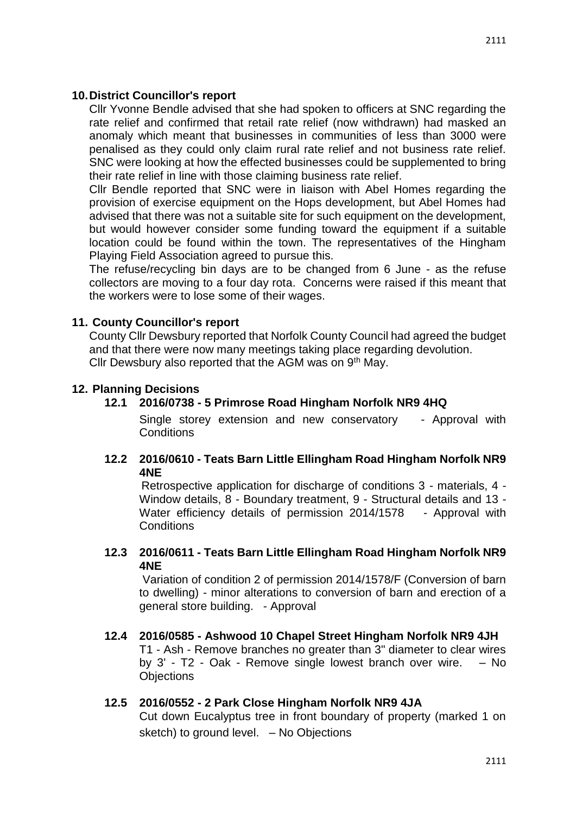#### **10.District Councillor's report**

Cllr Yvonne Bendle advised that she had spoken to officers at SNC regarding the rate relief and confirmed that retail rate relief (now withdrawn) had masked an anomaly which meant that businesses in communities of less than 3000 were penalised as they could only claim rural rate relief and not business rate relief. SNC were looking at how the effected businesses could be supplemented to bring their rate relief in line with those claiming business rate relief.

Cllr Bendle reported that SNC were in liaison with Abel Homes regarding the provision of exercise equipment on the Hops development, but Abel Homes had advised that there was not a suitable site for such equipment on the development, but would however consider some funding toward the equipment if a suitable location could be found within the town. The representatives of the Hingham Playing Field Association agreed to pursue this.

The refuse/recycling bin days are to be changed from 6 June - as the refuse collectors are moving to a four day rota. Concerns were raised if this meant that the workers were to lose some of their wages.

# **11. County Councillor's report**

County Cllr Dewsbury reported that Norfolk County Council had agreed the budget and that there were now many meetings taking place regarding devolution. Cllr Dewsbury also reported that the AGM was on  $9<sup>th</sup>$  May.

#### **12. Planning Decisions**

# **12.1 2016/0738 - 5 Primrose Road Hingham Norfolk NR9 4HQ**

Single storey extension and new conservatory - Approval with **Conditions** 

# **12.2 2016/0610 - Teats Barn Little Ellingham Road Hingham Norfolk NR9 4NE**

Retrospective application for discharge of conditions 3 - materials, 4 - Window details, 8 - Boundary treatment, 9 - Structural details and 13 - Water efficiency details of permission 2014/1578 - Approval with **Conditions** 

# **12.3 2016/0611 - Teats Barn Little Ellingham Road Hingham Norfolk NR9 4NE**

Variation of condition 2 of permission 2014/1578/F (Conversion of barn to dwelling) - minor alterations to conversion of barn and erection of a general store building. - Approval

# **12.4 2016/0585 - Ashwood 10 Chapel Street Hingham Norfolk NR9 4JH** T1 - Ash - Remove branches no greater than 3" diameter to clear wires by 3' - T2 - Oak - Remove single lowest branch over wire. – No **Objections**

# **12.5 2016/0552 - 2 Park Close Hingham Norfolk NR9 4JA**

Cut down Eucalyptus tree in front boundary of property (marked 1 on sketch) to ground level. – No Objections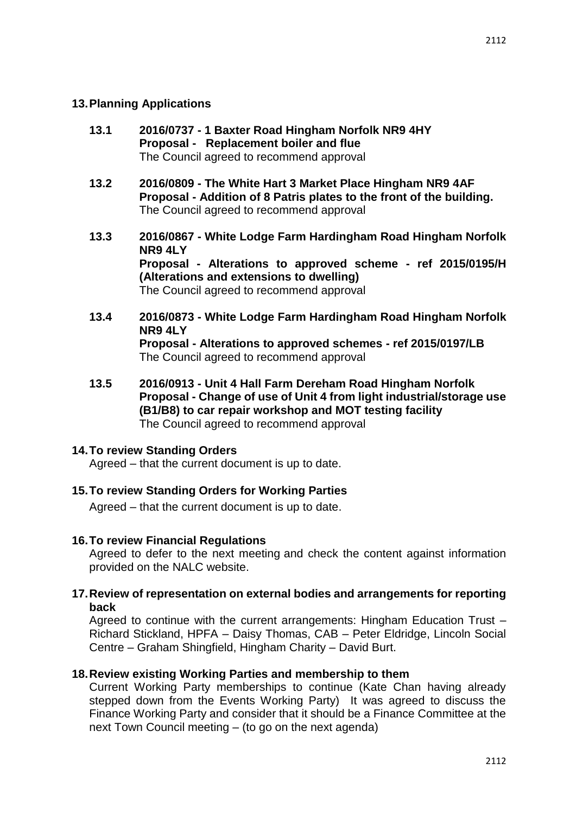# **13.Planning Applications**

- **13.1 2016/0737 - 1 Baxter Road Hingham Norfolk NR9 4HY Proposal - Replacement boiler and flue** The Council agreed to recommend approval
- **13.2 2016/0809 - The White Hart 3 Market Place Hingham NR9 4AF Proposal - Addition of 8 Patris plates to the front of the building.** The Council agreed to recommend approval
- **13.3 2016/0867 - White Lodge Farm Hardingham Road Hingham Norfolk NR9 4LY Proposal - Alterations to approved scheme - ref 2015/0195/H (Alterations and extensions to dwelling)** The Council agreed to recommend approval
- **13.4 2016/0873 - White Lodge Farm Hardingham Road Hingham Norfolk NR9 4LY Proposal - Alterations to approved schemes - ref 2015/0197/LB** The Council agreed to recommend approval
- **13.5 2016/0913 - Unit 4 Hall Farm Dereham Road Hingham Norfolk Proposal - Change of use of Unit 4 from light industrial/storage use (B1/B8) to car repair workshop and MOT testing facility** The Council agreed to recommend approval

# **14.To review Standing Orders**

Agreed – that the current document is up to date.

# **15.To review Standing Orders for Working Parties**

Agreed – that the current document is up to date.

# **16.To review Financial Regulations**

Agreed to defer to the next meeting and check the content against information provided on the NALC website.

#### **17.Review of representation on external bodies and arrangements for reporting back**

Agreed to continue with the current arrangements: Hingham Education Trust – Richard Stickland, HPFA – Daisy Thomas, CAB – Peter Eldridge, Lincoln Social Centre – Graham Shingfield, Hingham Charity – David Burt.

# **18.Review existing Working Parties and membership to them**

Current Working Party memberships to continue (Kate Chan having already stepped down from the Events Working Party) It was agreed to discuss the Finance Working Party and consider that it should be a Finance Committee at the next Town Council meeting – (to go on the next agenda)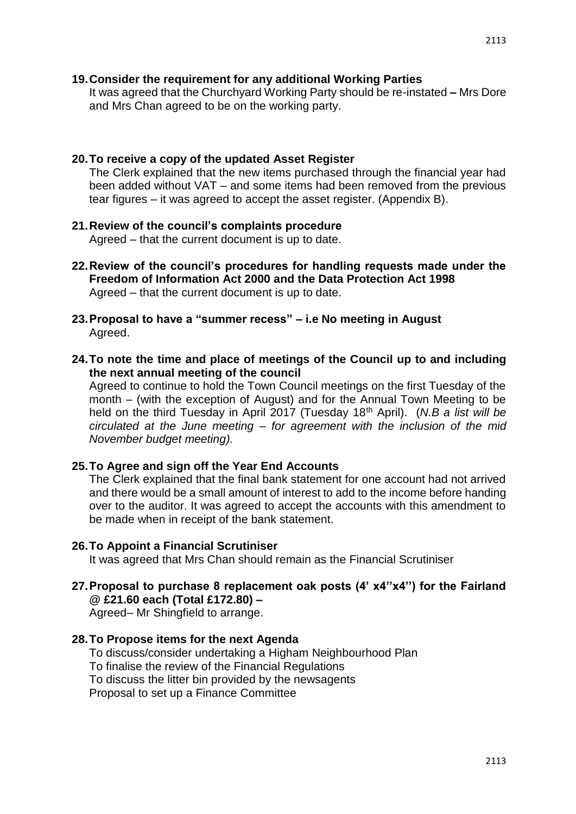### **19.Consider the requirement for any additional Working Parties**

It was agreed that the Churchyard Working Party should be re-instated **–** Mrs Dore and Mrs Chan agreed to be on the working party.

#### **20.To receive a copy of the updated Asset Register**

The Clerk explained that the new items purchased through the financial year had been added without VAT – and some items had been removed from the previous tear figures – it was agreed to accept the asset register. (Appendix B).

- **21.Review of the council's complaints procedure** Agreed – that the current document is up to date.
- **22.Review of the council's procedures for handling requests made under the Freedom of Information Act 2000 and the Data Protection Act 1998** Agreed – that the current document is up to date.
- **23.Proposal to have a "summer recess" – i.e No meeting in August** Agreed.
- **24.To note the time and place of meetings of the Council up to and including the next annual meeting of the council**

Agreed to continue to hold the Town Council meetings on the first Tuesday of the month – (with the exception of August) and for the Annual Town Meeting to be held on the third Tuesday in April 2017 (Tuesday 18<sup>th</sup> April). (*N.B a list will be circulated at the June meeting – for agreement with the inclusion of the mid November budget meeting).*

#### **25.To Agree and sign off the Year End Accounts**

The Clerk explained that the final bank statement for one account had not arrived and there would be a small amount of interest to add to the income before handing over to the auditor. It was agreed to accept the accounts with this amendment to be made when in receipt of the bank statement.

#### **26.To Appoint a Financial Scrutiniser**

It was agreed that Mrs Chan should remain as the Financial Scrutiniser

**27.Proposal to purchase 8 replacement oak posts (4' x4''x4'') for the Fairland @ £21.60 each (Total £172.80) –**

Agreed– Mr Shingfield to arrange.

#### **28.To Propose items for the next Agenda**

To discuss/consider undertaking a Higham Neighbourhood Plan To finalise the review of the Financial Regulations To discuss the litter bin provided by the newsagents Proposal to set up a Finance Committee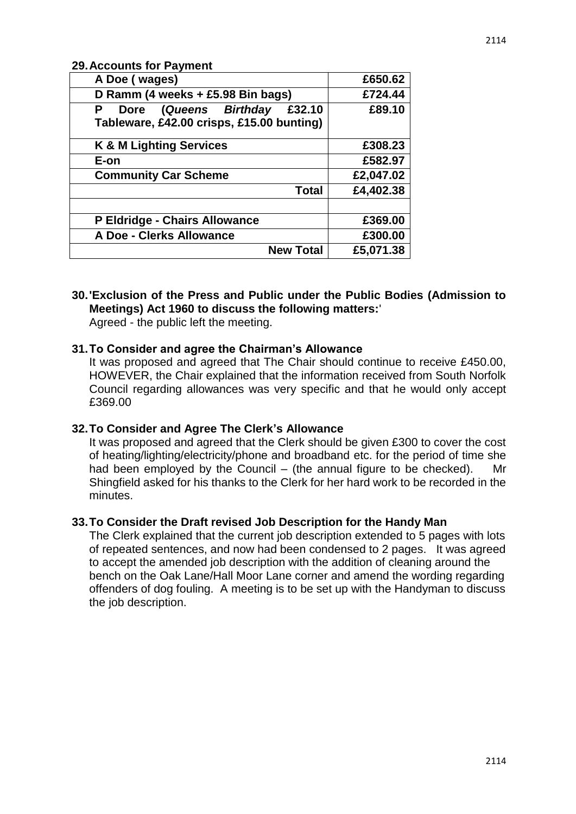2114

# **29.Accounts for Payment**

| A Doe (wages)                                                                        | £650.62   |
|--------------------------------------------------------------------------------------|-----------|
| D Ramm (4 weeks + £5.98 Bin bags)                                                    | £724.44   |
| (Queens Birthday<br>£32.10<br>Р<br>Dore<br>Tableware, £42.00 crisps, £15.00 bunting) | £89.10    |
| <b>K &amp; M Lighting Services</b>                                                   | £308.23   |
| E-on                                                                                 | £582.97   |
| <b>Community Car Scheme</b>                                                          | £2,047.02 |
| <b>Total</b>                                                                         | £4,402.38 |
| P Eldridge - Chairs Allowance                                                        | £369.00   |
| A Doe - Clerks Allowance                                                             | £300.00   |
| <b>New Total</b>                                                                     | £5,071.38 |

# **30.'Exclusion of the Press and Public under the Public Bodies (Admission to Meetings) Act 1960 to discuss the following matters:**'

Agreed - the public left the meeting.

#### **31.To Consider and agree the Chairman's Allowance**

It was proposed and agreed that The Chair should continue to receive £450.00, HOWEVER, the Chair explained that the information received from South Norfolk Council regarding allowances was very specific and that he would only accept £369.00

#### **32.To Consider and Agree The Clerk's Allowance**

It was proposed and agreed that the Clerk should be given £300 to cover the cost of heating/lighting/electricity/phone and broadband etc. for the period of time she had been employed by the Council  $-$  (the annual figure to be checked). Shingfield asked for his thanks to the Clerk for her hard work to be recorded in the minutes.

#### **33.To Consider the Draft revised Job Description for the Handy Man**

The Clerk explained that the current job description extended to 5 pages with lots of repeated sentences, and now had been condensed to 2 pages. It was agreed to accept the amended job description with the addition of cleaning around the bench on the Oak Lane/Hall Moor Lane corner and amend the wording regarding offenders of dog fouling. A meeting is to be set up with the Handyman to discuss the job description.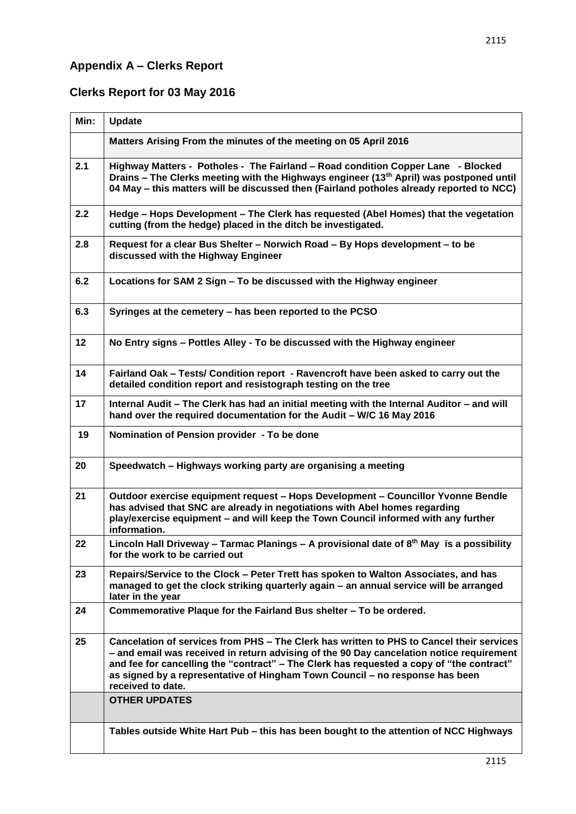# **Appendix A – Clerks Report**

# **Clerks Report for 03 May 2016**

| Min: | <b>Update</b>                                                                                                                                                                                                                                                                                                                                                                         |
|------|---------------------------------------------------------------------------------------------------------------------------------------------------------------------------------------------------------------------------------------------------------------------------------------------------------------------------------------------------------------------------------------|
|      | Matters Arising From the minutes of the meeting on 05 April 2016                                                                                                                                                                                                                                                                                                                      |
| 2.1  | Highway Matters - Potholes - The Fairland - Road condition Copper Lane - Blocked<br>Drains - The Clerks meeting with the Highways engineer (13 <sup>th</sup> April) was postponed until<br>04 May – this matters will be discussed then (Fairland potholes already reported to NCC)                                                                                                   |
| 2.2  | Hedge - Hops Development - The Clerk has requested (Abel Homes) that the vegetation<br>cutting (from the hedge) placed in the ditch be investigated.                                                                                                                                                                                                                                  |
| 2.8  | Request for a clear Bus Shelter - Norwich Road - By Hops development - to be<br>discussed with the Highway Engineer                                                                                                                                                                                                                                                                   |
| 6.2  | Locations for SAM 2 Sign - To be discussed with the Highway engineer                                                                                                                                                                                                                                                                                                                  |
| 6.3  | Syringes at the cemetery – has been reported to the PCSO                                                                                                                                                                                                                                                                                                                              |
| 12   | No Entry signs – Pottles Alley - To be discussed with the Highway engineer                                                                                                                                                                                                                                                                                                            |
| 14   | Fairland Oak - Tests/ Condition report - Ravencroft have been asked to carry out the<br>detailed condition report and resistograph testing on the tree                                                                                                                                                                                                                                |
| 17   | Internal Audit - The Clerk has had an initial meeting with the Internal Auditor - and will<br>hand over the required documentation for the Audit - W/C 16 May 2016                                                                                                                                                                                                                    |
| 19   | Nomination of Pension provider - To be done                                                                                                                                                                                                                                                                                                                                           |
| 20   | Speedwatch - Highways working party are organising a meeting                                                                                                                                                                                                                                                                                                                          |
| 21   | Outdoor exercise equipment request - Hops Development - Councillor Yvonne Bendle<br>has advised that SNC are already in negotiations with Abel homes regarding<br>play/exercise equipment - and will keep the Town Council informed with any further<br>information.                                                                                                                  |
| 22   | Lincoln Hall Driveway – Tarmac Planings – A provisional date of $8th$ May is a possibility<br>for the work to be carried out                                                                                                                                                                                                                                                          |
| 23   | Repairs/Service to the Clock - Peter Trett has spoken to Walton Associates, and has<br>managed to get the clock striking quarterly again – an annual service will be arranged<br>later in the year                                                                                                                                                                                    |
| 24   | Commemorative Plaque for the Fairland Bus shelter - To be ordered.                                                                                                                                                                                                                                                                                                                    |
| 25   | Cancelation of services from PHS - The Clerk has written to PHS to Cancel their services<br>- and email was received in return advising of the 90 Day cancelation notice requirement<br>and fee for cancelling the "contract" – The Clerk has requested a copy of "the contract"<br>as signed by a representative of Hingham Town Council - no response has been<br>received to date. |
|      | <b>OTHER UPDATES</b>                                                                                                                                                                                                                                                                                                                                                                  |
|      | Tables outside White Hart Pub - this has been bought to the attention of NCC Highways                                                                                                                                                                                                                                                                                                 |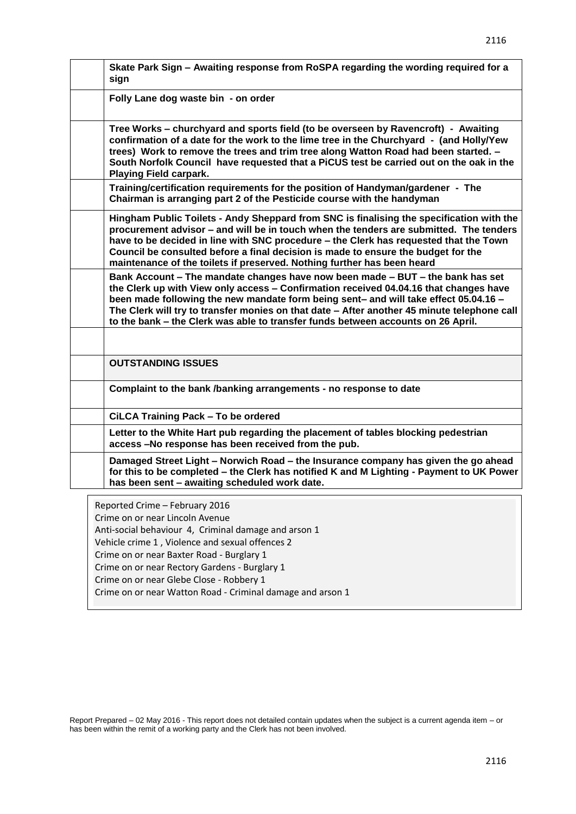| Skate Park Sign - Awaiting response from RoSPA regarding the wording required for a<br>sign                                                                                                                                                                                                                                                                                                                                                        |
|----------------------------------------------------------------------------------------------------------------------------------------------------------------------------------------------------------------------------------------------------------------------------------------------------------------------------------------------------------------------------------------------------------------------------------------------------|
| Folly Lane dog waste bin - on order                                                                                                                                                                                                                                                                                                                                                                                                                |
| Tree Works - churchyard and sports field (to be overseen by Ravencroft) - Awaiting<br>confirmation of a date for the work to the lime tree in the Churchyard - (and Holly/Yew<br>trees) Work to remove the trees and trim tree along Watton Road had been started. -<br>South Norfolk Council have requested that a PiCUS test be carried out on the oak in the<br><b>Playing Field carpark.</b>                                                   |
| Training/certification requirements for the position of Handyman/gardener - The<br>Chairman is arranging part 2 of the Pesticide course with the handyman                                                                                                                                                                                                                                                                                          |
| Hingham Public Toilets - Andy Sheppard from SNC is finalising the specification with the<br>procurement advisor - and will be in touch when the tenders are submitted. The tenders<br>have to be decided in line with SNC procedure - the Clerk has requested that the Town<br>Council be consulted before a final decision is made to ensure the budget for the<br>maintenance of the toilets if preserved. Nothing further has been heard        |
| Bank Account – The mandate changes have now been made – BUT – the bank has set<br>the Clerk up with View only access - Confirmation received 04.04.16 that changes have<br>been made following the new mandate form being sent- and will take effect 05.04.16 -<br>The Clerk will try to transfer monies on that date - After another 45 minute telephone call<br>to the bank - the Clerk was able to transfer funds between accounts on 26 April. |
|                                                                                                                                                                                                                                                                                                                                                                                                                                                    |
| <b>OUTSTANDING ISSUES</b>                                                                                                                                                                                                                                                                                                                                                                                                                          |
| Complaint to the bank /banking arrangements - no response to date                                                                                                                                                                                                                                                                                                                                                                                  |
| CiLCA Training Pack - To be ordered                                                                                                                                                                                                                                                                                                                                                                                                                |
| Letter to the White Hart pub regarding the placement of tables blocking pedestrian<br>access -No response has been received from the pub.                                                                                                                                                                                                                                                                                                          |
| Damaged Street Light - Norwich Road - the Insurance company has given the go ahead<br>for this to be completed - the Clerk has notified K and M Lighting - Payment to UK Power<br>has been sent - awaiting scheduled work date.                                                                                                                                                                                                                    |
| Reported Crime - February 2016<br>Crime on or near Lincoln Avenue<br>Anti-social behaviour 4, Criminal damage and arson 1                                                                                                                                                                                                                                                                                                                          |

Vehicle crime 1 , Violence and sexual offences 2

Crime on or near Baxter Road - Burglary 1

Crime on or near Rectory Gardens - Burglary 1

Crime on or near Glebe Close - Robbery 1

Crime on or near Watton Road - Criminal damage and arson 1

Report Prepared – 02 May 2016 - This report does not detailed contain updates when the subject is a current agenda item – or has been within the remit of a working party and the Clerk has not been involved.